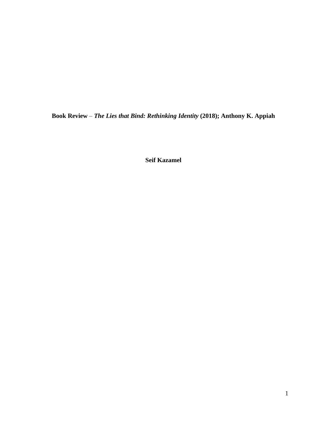**Book Review** – *The Lies that Bind: Rethinking Identity* **(2018); Anthony K. Appiah**

**Seif Kazamel**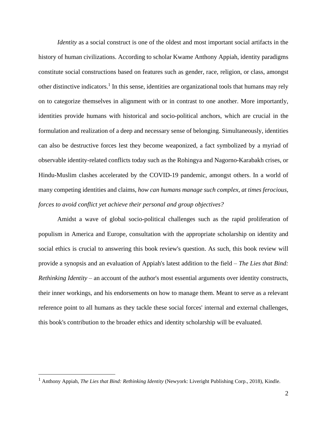*Identity* as a social construct is one of the oldest and most important social artifacts in the history of human civilizations. According to scholar Kwame Anthony Appiah, identity paradigms constitute social constructions based on features such as gender, race, religion, or class, amongst other distinctive indicators.<sup>1</sup> In this sense, identities are organizational tools that humans may rely on to categorize themselves in alignment with or in contrast to one another. More importantly, identities provide humans with historical and socio-political anchors, which are crucial in the formulation and realization of a deep and necessary sense of belonging. Simultaneously, identities can also be destructive forces lest they become weaponized, a fact symbolized by a myriad of observable identity-related conflicts today such as the Rohingya and Nagorno-Karabakh crises, or Hindu-Muslim clashes accelerated by the COVID-19 pandemic, amongst others. In a world of many competing identities and claims, *how can humans manage such complex, at times ferocious, forces to avoid conflict yet achieve their personal and group objectives?*

Amidst a wave of global socio-political challenges such as the rapid proliferation of populism in America and Europe, consultation with the appropriate scholarship on identity and social ethics is crucial to answering this book review's question. As such, this book review will provide a synopsis and an evaluation of Appiah's latest addition to the field – *The Lies that Bind: Rethinking Identity* – an account of the author's most essential arguments over identity constructs, their inner workings, and his endorsements on how to manage them. Meant to serve as a relevant reference point to all humans as they tackle these social forces' internal and external challenges, this book's contribution to the broader ethics and identity scholarship will be evaluated.

<sup>1</sup> Anthony Appiah, *The Lies that Bind: Rethinking Identity* (Newyork: Liveright Publishing Corp., 2018), Kindle.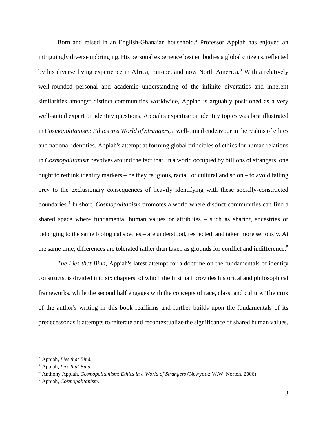Born and raised in an English-Ghanaian household,<sup>2</sup> Professor Appiah has enjoyed an intriguingly diverse upbringing. His personal experience best embodies a global citizen's, reflected by his diverse living experience in Africa, Europe, and now North America.<sup>3</sup> With a relatively well-rounded personal and academic understanding of the infinite diversities and inherent similarities amongst distinct communities worldwide, Appiah is arguably positioned as a very well-suited expert on identity questions. Appiah's expertise on identity topics was best illustrated in *Cosmopolitanism: Ethicsin a World of Strangers*, a well-timed endeavour in the realms of ethics and national identities. Appiah's attempt at forming global principles of ethics for human relations in *Cosmopolitanism* revolves around the fact that, in a world occupied by billions of strangers, one ought to rethink identity markers – be they religious, racial, or cultural and so on – to avoid falling prey to the exclusionary consequences of heavily identifying with these socially-constructed boundaries.<sup>4</sup> In short, *Cosmopolitanism* promotes a world where distinct communities can find a shared space where fundamental human values or attributes – such as sharing ancestries or belonging to the same biological species – are understood, respected, and taken more seriously. At the same time, differences are tolerated rather than taken as grounds for conflict and indifference.<sup>5</sup>

*The Lies that Bind*, Appiah's latest attempt for a doctrine on the fundamentals of identity constructs, is divided into six chapters, of which the first half provides historical and philosophical frameworks, while the second half engages with the concepts of race, class, and culture. The crux of the author's writing in this book reaffirms and further builds upon the fundamentals of its predecessor as it attempts to reiterate and recontextualize the significance of shared human values,

<sup>2</sup> Appiah, *Lies that Bind*.

<sup>3</sup> Appiah, *Lies that Bind*.

<sup>4</sup> Anthony Appiah, *Cosmopolitanism: Ethics in a World of Strangers* (Newyork: W.W. Norton, 2006).

<sup>5</sup> Appiah, *Cosmopolitanism*.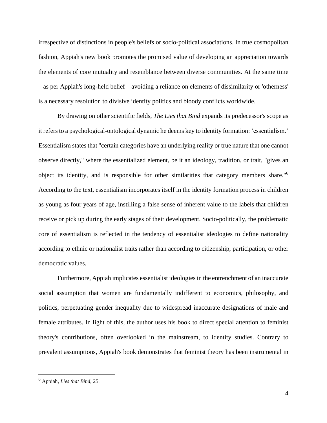irrespective of distinctions in people's beliefs or socio-political associations. In true cosmopolitan fashion, Appiah's new book promotes the promised value of developing an appreciation towards the elements of core mutuality and resemblance between diverse communities. At the same time – as per Appiah's long-held belief – avoiding a reliance on elements of dissimilarity or 'otherness' is a necessary resolution to divisive identity politics and bloody conflicts worldwide.

By drawing on other scientific fields, *The Lies that Bind* expands its predecessor's scope as it refers to a psychological-ontological dynamic he deems key to identity formation: 'essentialism.' Essentialism states that "certain categories have an underlying reality or true nature that one cannot observe directly," where the essentialized element, be it an ideology, tradition, or trait, "gives an object its identity, and is responsible for other similarities that category members share."<sup>6</sup> According to the text, essentialism incorporates itself in the identity formation process in children as young as four years of age, instilling a false sense of inherent value to the labels that children receive or pick up during the early stages of their development. Socio-politically, the problematic core of essentialism is reflected in the tendency of essentialist ideologies to define nationality according to ethnic or nationalist traits rather than according to citizenship, participation, or other democratic values.

Furthermore, Appiah implicates essentialist ideologies in the entrenchment of an inaccurate social assumption that women are fundamentally indifferent to economics, philosophy, and politics, perpetuating gender inequality due to widespread inaccurate designations of male and female attributes. In light of this, the author uses his book to direct special attention to feminist theory's contributions, often overlooked in the mainstream, to identity studies. Contrary to prevalent assumptions, Appiah's book demonstrates that feminist theory has been instrumental in

<sup>6</sup> Appiah, *Lies that Bind*, 25.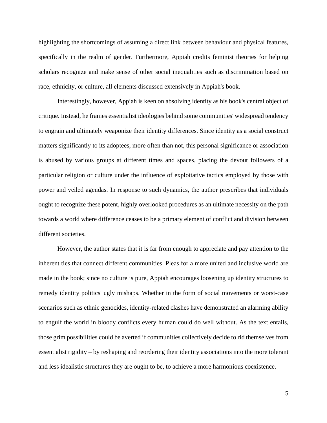highlighting the shortcomings of assuming a direct link between behaviour and physical features, specifically in the realm of gender. Furthermore, Appiah credits feminist theories for helping scholars recognize and make sense of other social inequalities such as discrimination based on race, ethnicity, or culture, all elements discussed extensively in Appiah's book.

Interestingly, however, Appiah is keen on absolving identity as his book's central object of critique. Instead, he frames essentialist ideologies behind some communities' widespread tendency to engrain and ultimately weaponize their identity differences. Since identity as a social construct matters significantly to its adoptees, more often than not, this personal significance or association is abused by various groups at different times and spaces, placing the devout followers of a particular religion or culture under the influence of exploitative tactics employed by those with power and veiled agendas. In response to such dynamics, the author prescribes that individuals ought to recognize these potent, highly overlooked procedures as an ultimate necessity on the path towards a world where difference ceases to be a primary element of conflict and division between different societies.

However, the author states that it is far from enough to appreciate and pay attention to the inherent ties that connect different communities. Pleas for a more united and inclusive world are made in the book; since no culture is pure, Appiah encourages loosening up identity structures to remedy identity politics' ugly mishaps. Whether in the form of social movements or worst-case scenarios such as ethnic genocides, identity-related clashes have demonstrated an alarming ability to engulf the world in bloody conflicts every human could do well without. As the text entails, those grim possibilities could be averted if communities collectively decide to rid themselves from essentialist rigidity – by reshaping and reordering their identity associations into the more tolerant and less idealistic structures they are ought to be, to achieve a more harmonious coexistence.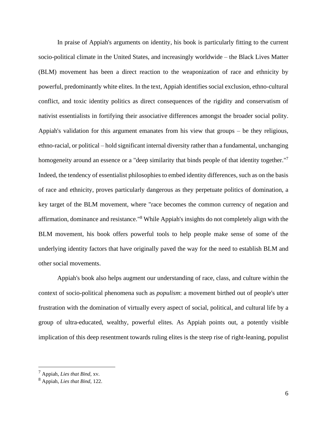In praise of Appiah's arguments on identity, his book is particularly fitting to the current socio-political climate in the United States, and increasingly worldwide – the Black Lives Matter (BLM) movement has been a direct reaction to the weaponization of race and ethnicity by powerful, predominantly white elites. In the text, Appiah identifies social exclusion, ethno-cultural conflict, and toxic identity politics as direct consequences of the rigidity and conservatism of nativist essentialists in fortifying their associative differences amongst the broader social polity. Appiah's validation for this argument emanates from his view that groups – be they religious, ethno-racial, or political – hold significant internal diversity rather than a fundamental, unchanging homogeneity around an essence or a "deep similarity that binds people of that identity together."<sup>7</sup> Indeed, the tendency of essentialist philosophies to embed identity differences, such as on the basis of race and ethnicity, proves particularly dangerous as they perpetuate politics of domination, a key target of the BLM movement, where "race becomes the common currency of negation and affirmation, dominance and resistance."<sup>8</sup> While Appiah's insights do not completely align with the BLM movement, his book offers powerful tools to help people make sense of some of the underlying identity factors that have originally paved the way for the need to establish BLM and other social movements.

Appiah's book also helps augment our understanding of race, class, and culture within the context of socio-political phenomena such as *populism*: a movement birthed out of people's utter frustration with the domination of virtually every aspect of social, political, and cultural life by a group of ultra-educated, wealthy, powerful elites. As Appiah points out, a potently visible implication of this deep resentment towards ruling elites is the steep rise of right-leaning, populist

<sup>7</sup> Appiah, *Lies that Bind*, xv.

<sup>8</sup> Appiah, *Lies that Bind*, 122.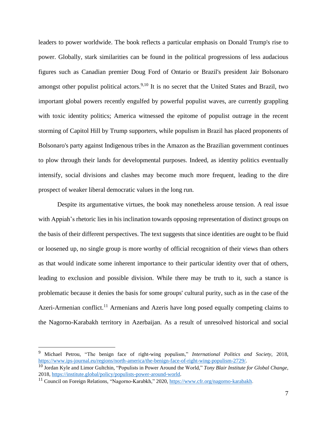leaders to power worldwide. The book reflects a particular emphasis on Donald Trump's rise to power. Globally, stark similarities can be found in the political progressions of less audacious figures such as Canadian premier Doug Ford of Ontario or Brazil's president Jair Bolsonaro amongst other populist political actors.<sup>9,10</sup> It is no secret that the United States and Brazil, two important global powers recently engulfed by powerful populist waves, are currently grappling with toxic identity politics; America witnessed the epitome of populist outrage in the recent storming of Capitol Hill by Trump supporters, while populism in Brazil has placed proponents of Bolsonaro's party against Indigenous tribes in the Amazon as the Brazilian government continues to plow through their lands for developmental purposes. Indeed, as identity politics eventually intensify, social divisions and clashes may become much more frequent, leading to the dire prospect of weaker liberal democratic values in the long run.

Despite its argumentative virtues, the book may nonetheless arouse tension. A real issue with Appiah's rhetoric lies in his inclination towards opposing representation of distinct groups on the basis of their different perspectives. The text suggests that since identities are ought to be fluid or loosened up, no single group is more worthy of official recognition of their views than others as that would indicate some inherent importance to their particular identity over that of others, leading to exclusion and possible division. While there may be truth to it, such a stance is problematic because it denies the basis for some groups' cultural purity, such as in the case of the Azeri-Armenian conflict.<sup>11</sup> Armenians and Azeris have long posed equally competing claims to the Nagorno-Karabakh territory in Azerbaijan. As a result of unresolved historical and social

<sup>9</sup> Michael Petrou, "The benign face of right-wing populism," *International Politics and Society*, 2018, [https://www.ips-journal.eu/regions/north-america/the-benign-face-of-right-wing-populism-2729/.](https://www.ips-journal.eu/regions/north-america/the-benign-face-of-right-wing-populism-2729/)

<sup>10</sup> Jordan Kyle and Limor Gultchin, "Populists in Power Around the World," *Tony Blair Institute for Global Change*, 2018, [https://institute.global/policy/populists-power-around-world.](https://institute.global/policy/populists-power-around-world)

<sup>&</sup>lt;sup>11</sup> Council on Foreign Relations, "Nagorno-Karabkh," 2020, <https://www.cfr.org/nagorno-karabakh>.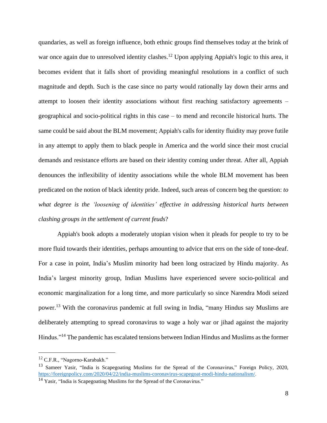quandaries, as well as foreign influence, both ethnic groups find themselves today at the brink of war once again due to unresolved identity clashes.<sup>12</sup> Upon applying Appiah's logic to this area, it becomes evident that it falls short of providing meaningful resolutions in a conflict of such magnitude and depth. Such is the case since no party would rationally lay down their arms and attempt to loosen their identity associations without first reaching satisfactory agreements – geographical and socio-political rights in this case – to mend and reconcile historical hurts. The same could be said about the BLM movement; Appiah's calls for identity fluidity may prove futile in any attempt to apply them to black people in America and the world since their most crucial demands and resistance efforts are based on their identity coming under threat. After all, Appiah denounces the inflexibility of identity associations while the whole BLM movement has been predicated on the notion of black identity pride. Indeed, such areas of concern beg the question: *to what degree is the 'loosening of identities' effective in addressing historical hurts between clashing groups in the settlement of current feuds*?

Appiah's book adopts a moderately utopian vision when it pleads for people to try to be more fluid towards their identities, perhaps amounting to advice that errs on the side of tone-deaf. For a case in point, India's Muslim minority had been long ostracized by Hindu majority. As India's largest minority group, Indian Muslims have experienced severe socio-political and economic marginalization for a long time, and more particularly so since Narendra Modi seized power.<sup>13</sup> With the coronavirus pandemic at full swing in India, "many Hindus say Muslims are deliberately attempting to spread coronavirus to wage a holy war or jihad against the majority Hindus."<sup>14</sup> The pandemic has escalated tensions between Indian Hindus and Muslims asthe former

<sup>12</sup> C.F.R., "Nagorno-Karabakh."

<sup>&</sup>lt;sup>13</sup> Sameer Yasir, "India is Scapegoating Muslims for the Spread of the Coronavirus," Foreign Policy, 2020, <https://foreignpolicy.com/2020/04/22/india-muslims-coronavirus-scapegoat-modi-hindu-nationalism/>.

<sup>&</sup>lt;sup>14</sup> Yasir, "India is Scapegoating Muslims for the Spread of the Coronavirus."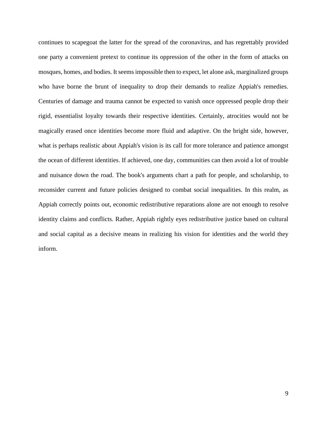continues to scapegoat the latter for the spread of the coronavirus, and has regrettably provided one party a convenient pretext to continue its oppression of the other in the form of attacks on mosques, homes, and bodies. It seems impossible then to expect, let alone ask, marginalized groups who have borne the brunt of inequality to drop their demands to realize Appiah's remedies. Centuries of damage and trauma cannot be expected to vanish once oppressed people drop their rigid, essentialist loyalty towards their respective identities. Certainly, atrocities would not be magically erased once identities become more fluid and adaptive. On the bright side, however, what is perhaps realistic about Appiah's vision is its call for more tolerance and patience amongst the ocean of different identities. If achieved, one day, communities can then avoid a lot of trouble and nuisance down the road. The book's arguments chart a path for people, and scholarship, to reconsider current and future policies designed to combat social inequalities. In this realm, as Appiah correctly points out, economic redistributive reparations alone are not enough to resolve identity claims and conflicts. Rather, Appiah rightly eyes redistributive justice based on cultural and social capital as a decisive means in realizing his vision for identities and the world they inform.